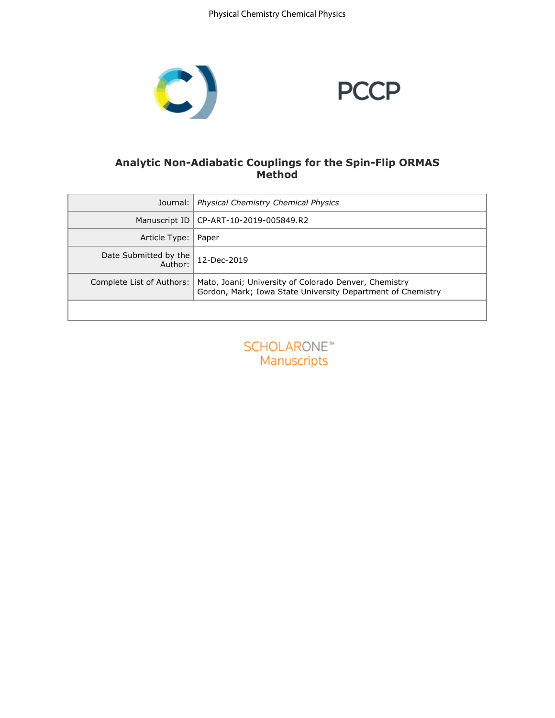Physical Chemistry Chemical Physics



# **PCCP**

# **Analytic Non-Adiabatic Couplings for the Spin-Flip ORMAS Method**

| Journal:                         | Physical Chemistry Chemical Physics                                                                                  |
|----------------------------------|----------------------------------------------------------------------------------------------------------------------|
| Manuscript ID                    | CP-ART-10-2019-005849.R2                                                                                             |
| Article Type:                    | Paper                                                                                                                |
| Date Submitted by the<br>Author: | 12-Dec-2019                                                                                                          |
| Complete List of Authors:        | Mato, Joani; University of Colorado Denver, Chemistry<br>Gordon, Mark; Iowa State University Department of Chemistry |
|                                  |                                                                                                                      |

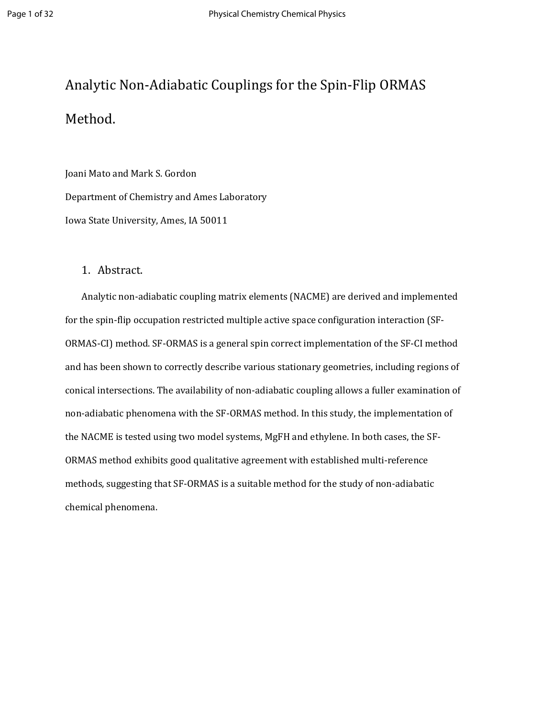# Analytic Non-Adiabatic Couplings for the Spin-Flip ORMAS Method.

Joani Mato and Mark S. Gordon Department of Chemistry and Ames Laboratory Iowa State University, Ames, IA 50011

## 1. Abstract.

Analytic non-adiabatic coupling matrix elements (NACME) are derived and implemented for the spin-flip occupation restricted multiple active space configuration interaction (SF-ORMAS-CI) method. SF-ORMAS is a general spin correct implementation of the SF-CI method and has been shown to correctly describe various stationary geometries, including regions of conical intersections. The availability of non-adiabatic coupling allows a fuller examination of non-adiabatic phenomena with the SF-ORMAS method. In this study, the implementation of the NACME is tested using two model systems, MgFH and ethylene. In both cases, the SF-ORMAS method exhibits good qualitative agreement with established multi-reference methods, suggesting that SF-ORMAS is a suitable method for the study of non-adiabatic chemical phenomena.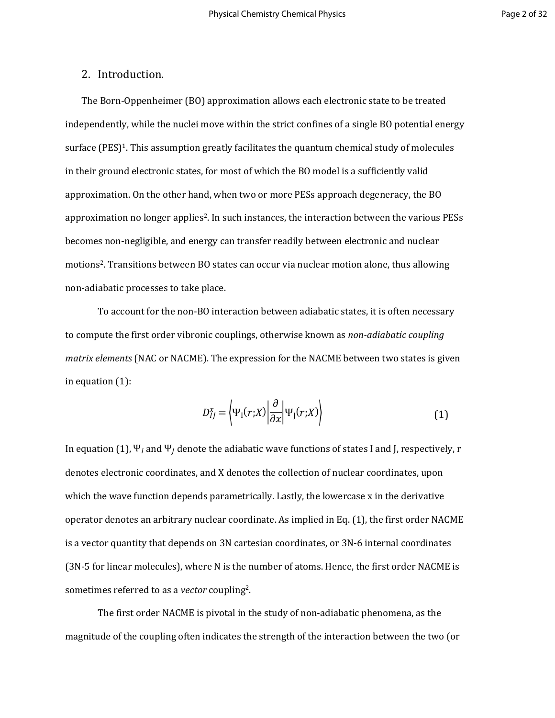## 2. Introduction.

The Born-Oppenheimer (BO) approximation allows each electronic state to be treated independently, while the nuclei move within the strict confines of a single BO potential energy surface (PES)<sup>1</sup>. This assumption greatly facilitates the quantum chemical study of molecules in their ground electronic states, for most of which the BO model is a sufficiently valid approximation. On the other hand, when two or more PESs approach degeneracy, the BO approximation no longer applies<sup>2</sup>. In such instances, the interaction between the various PESs becomes non-negligible, and energy can transfer readily between electronic and nuclear motions<sup>2</sup>. Transitions between BO states can occur via nuclear motion alone, thus allowing non-adiabatic processes to take place.

To account for the non-BO interaction between adiabatic states, it is often necessary to compute the first order vibronic couplings, otherwise known as *non-adiabatic coupling matrix elements* (NAC or NACME). The expression for the NACME between two states is given in equation (1):

$$
D_{IJ}^x = \left\langle \Psi_1(r;X) \left| \frac{\partial}{\partial x} \right| \Psi_J(r;X) \right\rangle \tag{1}
$$

In equation (1),  $\Psi_l$  and  $\Psi_l$  denote the adiabatic wave functions of states I and J, respectively, r denotes electronic coordinates, and X denotes the collection of nuclear coordinates, upon which the wave function depends parametrically. Lastly, the lowercase x in the derivative operator denotes an arbitrary nuclear coordinate. As implied in Eq. (1), the first order NACME is a vector quantity that depends on 3N cartesian coordinates, or 3N-6 internal coordinates (3N-5 for linear molecules), where N is the number of atoms. Hence, the first order NACME is sometimes referred to as a *vector* coupling<sup>2</sup>.

The first order NACME is pivotal in the study of non-adiabatic phenomena, as the magnitude of the coupling often indicates the strength of the interaction between the two (or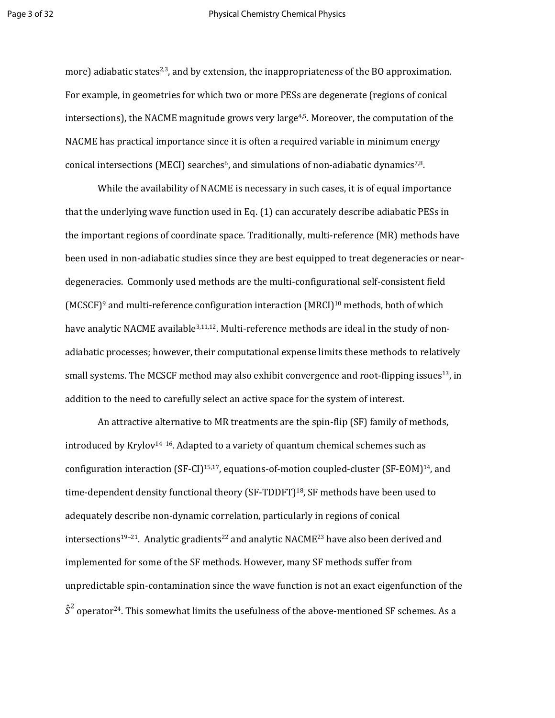#### Page 3 of 32 **Physical Chemistry Chemical Physics**

more) adiabatic states<sup>2,3</sup>, and by extension, the inappropriateness of the BO approximation. For example, in geometries for which two or more PESs are degenerate (regions of conical intersections), the NACME magnitude grows very large<sup>4,5</sup>. Moreover, the computation of the NACME has practical importance since it is often a required variable in minimum energy conical intersections (MECI) searches<sup>6</sup>, and simulations of non-adiabatic dynamics<sup>7,8</sup>.

While the availability of NACME is necessary in such cases, it is of equal importance that the underlying wave function used in Eq. (1) can accurately describe adiabatic PESs in the important regions of coordinate space. Traditionally, multi-reference (MR) methods have been used in non-adiabatic studies since they are best equipped to treat degeneracies or neardegeneracies. Commonly used methods are the multi-configurational self-consistent field  $(MCSCF)^9$  and multi-reference configuration interaction  $(MRCI)^{10}$  methods, both of which have analytic NACME available<sup>3,11,12</sup>. Multi-reference methods are ideal in the study of nonadiabatic processes; however, their computational expense limits these methods to relatively small systems. The MCSCF method may also exhibit convergence and root-flipping issues<sup>13</sup>, in addition to the need to carefully select an active space for the system of interest.

An attractive alternative to MR treatments are the spin-flip (SF) family of methods, introduced by Krylov<sup>14–16</sup>. Adapted to a variety of quantum chemical schemes such as configuration interaction (SF-CI)<sup>15,17</sup>, equations-of-motion coupled-cluster (SF-EOM)<sup>14</sup>, and time-dependent density functional theory (SF-TDDFT)<sup>18</sup>, SF methods have been used to adequately describe non-dynamic correlation, particularly in regions of conical intersections<sup>19-21</sup>. Analytic gradients<sup>22</sup> and analytic NACME<sup>23</sup> have also been derived and implemented for some of the SF methods. However, many SF methods suffer from unpredictable spin-contamination since the wave function is not an exact eigenfunction of the  $\hat{S}^2$  operator<sup>24</sup>. This somewhat limits the usefulness of the above-mentioned SF schemes. As a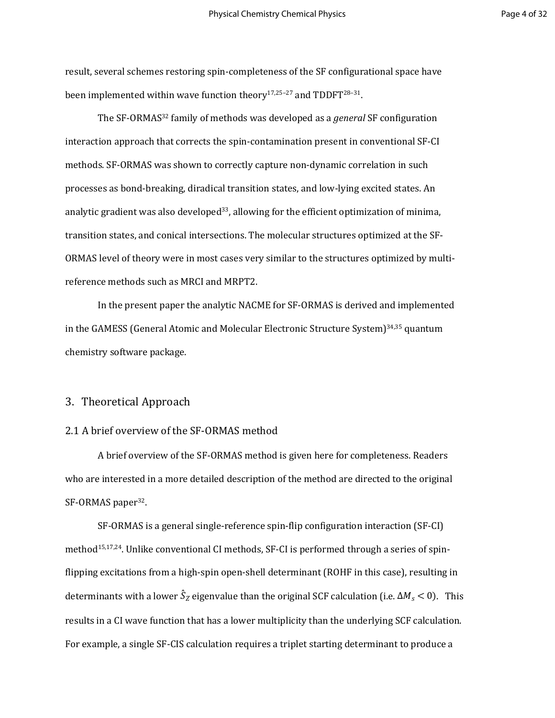result, several schemes restoring spin-completeness of the SF configurational space have been implemented within wave function theory<sup>17,25-27</sup> and TDDFT<sup>28-31</sup>.

The SF-ORMAS<sup>32</sup> family of methods was developed as a *general* SF configuration interaction approach that corrects the spin-contamination present in conventional SF-CI methods. SF-ORMAS was shown to correctly capture non-dynamic correlation in such processes as bond-breaking, diradical transition states, and low-lying excited states. An analytic gradient was also developed<sup>33</sup>, allowing for the efficient optimization of minima, transition states, and conical intersections. The molecular structures optimized at the SF-ORMAS level of theory were in most cases very similar to the structures optimized by multireference methods such as MRCI and MRPT2.

In the present paper the analytic NACME for SF-ORMAS is derived and implemented in the GAMESS (General Atomic and Molecular Electronic Structure System)34,35 quantum chemistry software package.

#### 3. Theoretical Approach

#### 2.1 A brief overview of the SF-ORMAS method

A brief overview of the SF-ORMAS method is given here for completeness. Readers who are interested in a more detailed description of the method are directed to the original SF-ORMAS paper<sup>32</sup>.

SF-ORMAS is a general single-reference spin-flip configuration interaction (SF-CI) method<sup>15,17,24</sup>. Unlike conventional CI methods, SF-CI is performed through a series of spinflipping excitations from a high-spin open-shell determinant (ROHF in this case), resulting in determinants with a lower  $\hat{S}_z$  eigenvalue than the original SCF calculation (i.e.  $\Delta M_s < 0$ ). This results in a CI wave function that has a lower multiplicity than the underlying SCF calculation. For example, a single SF-CIS calculation requires a triplet starting determinant to produce a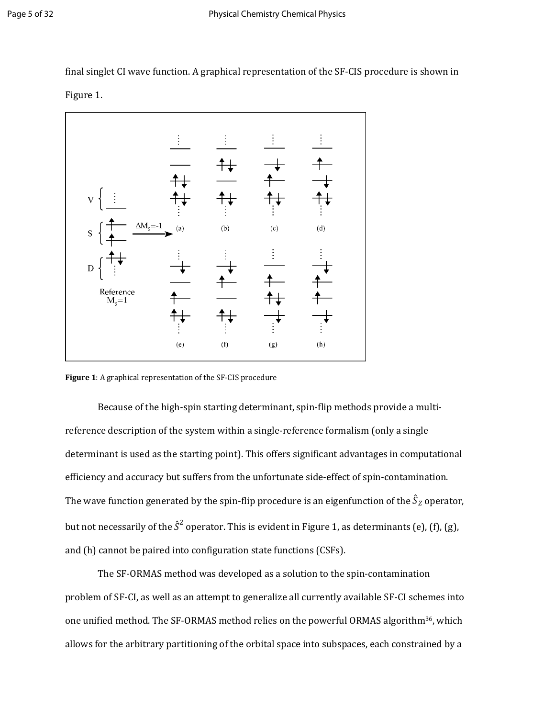final singlet CI wave function. A graphical representation of the SF-CIS procedure is shown in Figure 1.



**Figure 1**: A graphical representation of the SF-CIS procedure

Because of the high-spin starting determinant, spin-flip methods provide a multireference description of the system within a single-reference formalism (only a single determinant is used as the starting point). This offers significant advantages in computational efficiency and accuracy but suffers from the unfortunate side-effect of spin-contamination. The wave function generated by the spin-flip procedure is an eigenfunction of the  $\hat{S}_Z$  operator, but not necessarily of the  $\hat{S}^2$  operator. This is evident in Figure 1, as determinants (e), (f), (g), and (h) cannot be paired into configuration state functions (CSFs).

The SF-ORMAS method was developed as a solution to the spin-contamination problem of SF-CI, as well as an attempt to generalize all currently available SF-CI schemes into one unified method. The SF-ORMAS method relies on the powerful ORMAS algorithm<sup>36</sup>, which allows for the arbitrary partitioning of the orbital space into subspaces, each constrained by a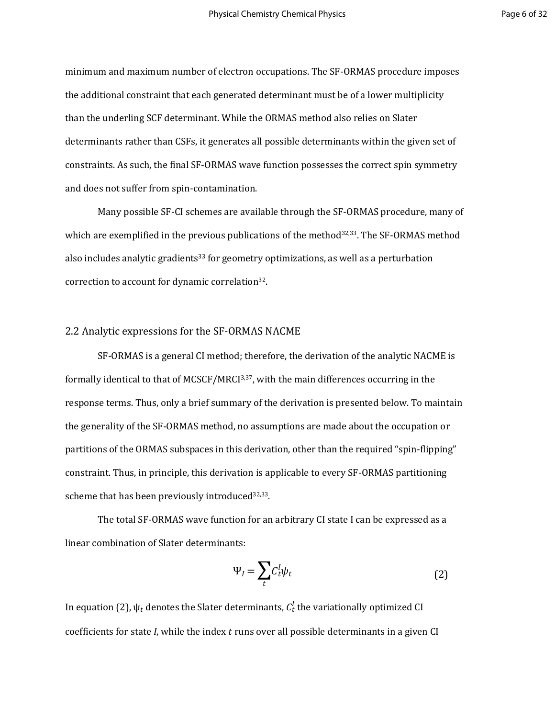minimum and maximum number of electron occupations. The SF-ORMAS procedure imposes the additional constraint that each generated determinant must be of a lower multiplicity than the underling SCF determinant. While the ORMAS method also relies on Slater determinants rather than CSFs, it generates all possible determinants within the given set of constraints. As such, the final SF-ORMAS wave function possesses the correct spin symmetry and does not suffer from spin-contamination.

Many possible SF-CI schemes are available through the SF-ORMAS procedure, many of which are exemplified in the previous publications of the method $32,33$ . The SF-ORMAS method also includes analytic gradients<sup>33</sup> for geometry optimizations, as well as a perturbation correction to account for dynamic correlation<sup>32</sup>.

#### 2.2 Analytic expressions for the SF-ORMAS NACME

SF-ORMAS is a general CI method; therefore, the derivation of the analytic NACME is formally identical to that of MCSCF/MRCI3,37, with the main differences occurring in the response terms. Thus, only a brief summary of the derivation is presented below. To maintain the generality of the SF-ORMAS method, no assumptions are made about the occupation or partitions of the ORMAS subspaces in this derivation, other than the required "spin-flipping" constraint. Thus, in principle, this derivation is applicable to every SF-ORMAS partitioning scheme that has been previously introduced<sup>32,33</sup>.

The total SF-ORMAS wave function for an arbitrary CI state I can be expressed as a linear combination of Slater determinants:

$$
\Psi_{I} = \sum_{t} C_{t}^{I} \psi_{t} \tag{2}
$$

In equation (2),  $\psi_t$  denotes the Slater determinants,  $\mathcal{C}_t^I$  the variationally optimized CI coefficients for state *I*, while the index t runs over all possible determinants in a given CI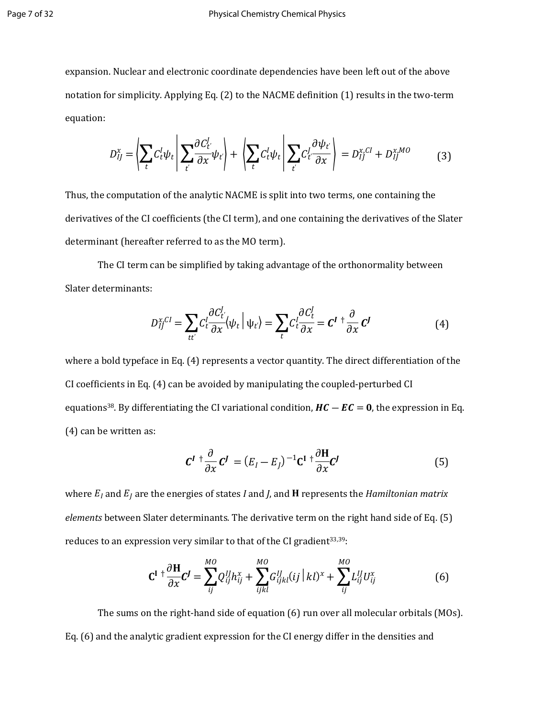#### Page 7 of 32 Physical Chemistry Chemical Physics

expansion. Nuclear and electronic coordinate dependencies have been left out of the above notation for simplicity. Applying Eq. (2) to the NACME definition (1) results in the two-term equation:

$$
D_{IJ}^x = \left| \sum_t C_t^I \psi_t \middle| \sum_{t'} \frac{\partial C_{t'}^I}{\partial x} \psi_t \right| + \left| \sum_t C_t^I \psi_t \middle| \sum_{t'} C_{t'}^I \frac{\partial \psi_t}{\partial x} \right| = D_{IJ}^{x,CI} + D_{IJ}^{x,MO}
$$
(3)

Thus, the computation of the analytic NACME is split into two terms, one containing the derivatives of the CI coefficients (the CI term), and one containing the derivatives of the Slater determinant (hereafter referred to as the MO term).

The CI term can be simplified by taking advantage of the orthonormality between Slater determinants:

$$
D_{IJ}^{x,CI} = \sum_{tt'} C_t^I \frac{\partial C_t^I}{\partial x} \langle \psi_t | \psi_{t'} \rangle = \sum_t C_t^I \frac{\partial C_t^I}{\partial x} = \mathcal{C}^I \dagger \frac{\partial}{\partial x} \mathcal{C}^J \tag{4}
$$

where a bold typeface in Eq. (4) represents a vector quantity. The direct differentiation of the CI coefficients in Eq. (4) can be avoided by manipulating the coupled-perturbed CI equations<sup>38</sup>. By differentiating the CI variational condition,  $HC - EC = 0$ , the expression in Eq. (4) can be written as:

$$
\mathbf{C}^I \dagger \frac{\partial}{\partial x} \mathbf{C}^J = (E_I - E_J)^{-1} \mathbf{C}^I \dagger \frac{\partial \mathbf{H}}{\partial x} \mathbf{C}^J
$$
 (5)

where  $E_I$  and  $E_I$  are the energies of states *I* and *J*, and **H** represents the *Hamiltonian matrix elements* between Slater determinants*.* The derivative term on the right hand side of Eq. (5) reduces to an expression very similar to that of the CI gradient<sup>33,39</sup>:

$$
\mathbf{C}^{\mathbf{I}} + \frac{\partial \mathbf{H}}{\partial x} \mathbf{C}^{\mathbf{J}} = \sum_{ij}^{MO} Q_{ij}^{IJ} h_{ij}^{x} + \sum_{ijkl}^{MO} G_{ijkl}^{IJ}(ij \mid kl)^{x} + \sum_{ij}^{MO} L_{ij}^{IJ} U_{ij}^{x}
$$
(6)

The sums on the right-hand side of equation (6) run over all molecular orbitals (MOs). Eq. (6) and the analytic gradient expression for the CI energy differ in the densities and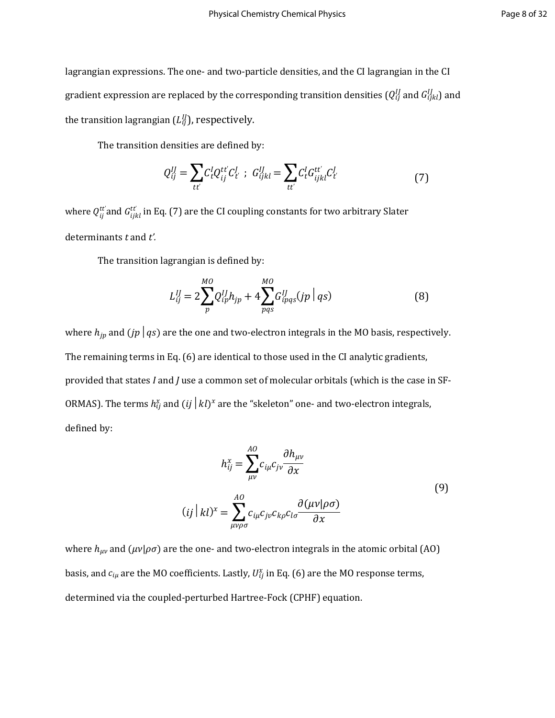lagrangian expressions. The one- and two-particle densities, and the CI lagrangian in the CI gradient expression are replaced by the corresponding transition densities ( $Q^{IJ}_{ij}$  and  $G^{IJ}_{ijkl}$ ) and the transition lagrangian  $(L_{ij}^{ll})$ , respectively.

The transition densities are defined by:

$$
Q_{ij}^{IJ} = \sum_{tt'} C_t^I Q_{ij}^{tt'} C_{t'}^I \; ; \; G_{ijkl}^{IJ} = \sum_{tt'} C_t^I G_{ijkl}^{tt'} C_{t'}^I \tag{7}
$$

where  $Q_{ij}^{tt'}$  and  $G_{ijkl}^{tt'}$  in Eq. (7) are the CI coupling constants for two arbitrary Slater determinants *t* and *t'.* 

The transition lagrangian is defined by:

$$
L_{ij}^{IJ} = 2 \sum_{p}^{MO} Q_{ip}^{IJ} h_{jp} + 4 \sum_{pqs}^{MO} G_{ipqs}^{IJ}(jp \mid qs)
$$
 (8)

where  $h_{ip}$  and  $(jp \mid qs)$  are the one and two-electron integrals in the MO basis, respectively. The remaining terms in Eq. (6) are identical to those used in the CI analytic gradients, provided that states *I* and *J* use a common set of molecular orbitals (which is the case in SF-ORMAS). The terms  $h_{ij}^x$  and  $(ii \mid kl)^x$  are the "skeleton" one- and two-electron integrals, defined by:

$$
h_{ij}^{x} = \sum_{\mu\nu}^{A0} c_{i\mu} c_{j\nu} \frac{\partial h_{\mu\nu}}{\partial x}
$$
  
(*ij* | *kl*)<sup>x</sup> = 
$$
\sum_{\mu\nu\rho\sigma}^{A0} c_{i\mu} c_{j\nu} c_{k\rho} c_{l\sigma} \frac{\partial (\mu\nu | \rho\sigma)}{\partial x}
$$
 (9)

where  $h_{\mu\nu}$  and  $(\mu\nu|\rho\sigma)$  are the one- and two-electron integrals in the atomic orbital (AO) basis, and  $c_{i\mu}$  are the MO coefficients. Lastly,  $U_{ij}^{\chi}$  in Eq. (6) are the MO response terms, determined via the coupled-perturbed Hartree-Fock (CPHF) equation.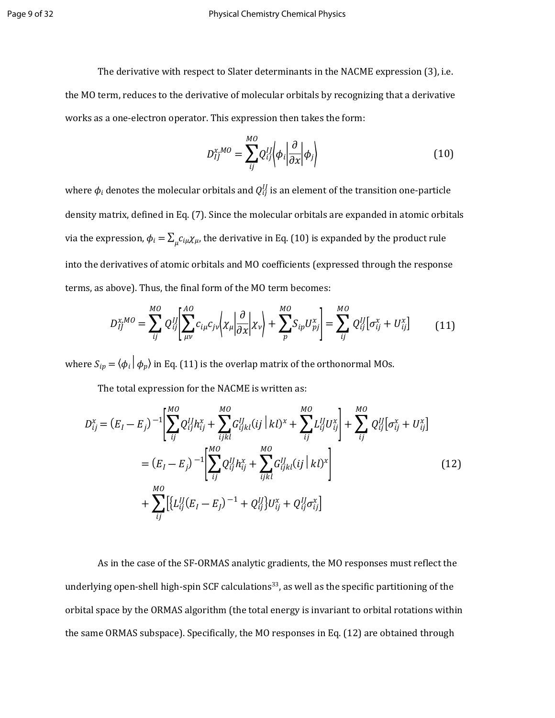The derivative with respect to Slater determinants in the NACME expression (3), i.e. the MO term, reduces to the derivative of molecular orbitals by recognizing that a derivative works as a one-electron operator. This expression then takes the form:

$$
D_{ij}^{x,MO} = \sum_{ij}^{MO} Q_{ij}^{IJ} \bigg| \phi_i \bigg| \frac{\partial}{\partial x} \bigg| \phi_j \bigg\rangle \tag{10}
$$

where  $\phi_i$  denotes the molecular orbitals and  $Q^{IJ}_{ij}$  is an element of the transition one-particle density matrix, defined in Eq. (7). Since the molecular orbitals are expanded in atomic orbitals via the expression,  $\phi_i = \sum_\mu c_{i\mu} \chi_\mu$ , the derivative in Eq. (10) is expanded by the product rule into the derivatives of atomic orbitals and MO coefficients (expressed through the response terms, as above). Thus, the final form of the MO term becomes:

$$
D_{ij}^{x,MO} = \sum_{ij}^{MO} Q_{ij}^{IJ} \left[ \sum_{\mu\nu}^{AO} c_{i\mu} c_{j\nu} \left| \chi_{\mu} \right| \frac{\partial}{\partial x} \left| \chi_{\nu} \right| + \sum_{p}^{MO} S_{ip} U_{pj}^{x} \right] = \sum_{ij}^{MO} Q_{ij}^{IJ} [\sigma_{ij}^{x} + U_{ij}^{x}] \tag{11}
$$

where  $S_{ip} = \langle \phi_i | \phi_p \rangle$  in Eq. (11) is the overlap matrix of the orthonormal MOs.

The total expression for the NACME is written as:

$$
D_{ij}^{x} = (E_{I} - E_{j})^{-1} \left[ \sum_{ij}^{MO} Q_{ij}^{II} h_{ij}^{x} + \sum_{ijkl}^{MO} G_{ijkl}^{II}(ij \mid kl)^{x} + \sum_{ij}^{MO} L_{ij}^{II} U_{ij}^{x} \right] + \sum_{ij}^{MO} Q_{ij}^{II} [\sigma_{ij}^{x} + U_{ij}^{x}]
$$
  

$$
= (E_{I} - E_{j})^{-1} \left[ \sum_{ij}^{MO} Q_{ij}^{II} h_{ij}^{x} + \sum_{ijkl}^{MO} G_{ijkl}^{II}(ij \mid kl)^{x} \right]
$$

$$
+ \sum_{ij}^{MO} \left[ \{ L_{ij}^{II}(E_{I} - E_{J})^{-1} + Q_{ij}^{II} \} U_{ij}^{x} + Q_{ij}^{II} \sigma_{ij}^{x} \right]
$$
(12)

As in the case of the SF-ORMAS analytic gradients, the MO responses must reflect the underlying open-shell high-spin SCF calculations<sup>33</sup>, as well as the specific partitioning of the orbital space by the ORMAS algorithm (the total energy is invariant to orbital rotations within the same ORMAS subspace). Specifically, the MO responses in Eq. (12) are obtained through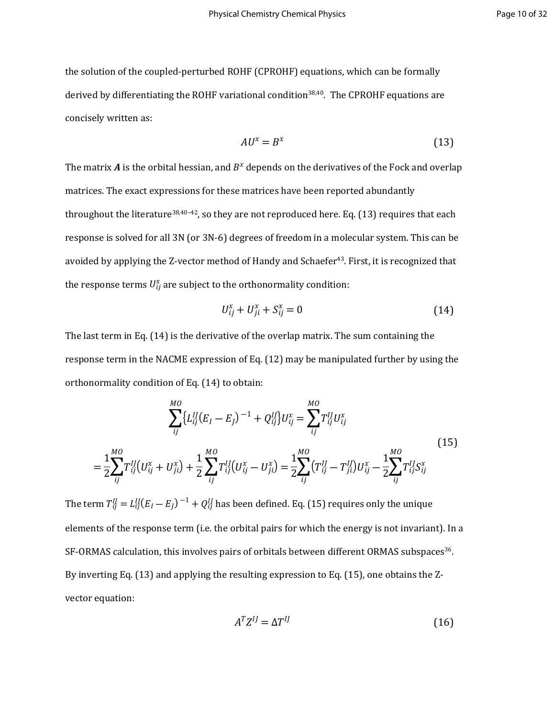the solution of the coupled-perturbed ROHF (CPROHF) equations, which can be formally derived by differentiating the ROHF variational condition<sup>38,40</sup>. The CPROHF equations are concisely written as:

$$
AU^x = B^x \tag{13}
$$

The matrix A is the orbital hessian, and  $B^x$  depends on the derivatives of the Fock and overlap matrices. The exact expressions for these matrices have been reported abundantly throughout the literature<sup>38,40-42</sup>, so they are not reproduced here. Eq. (13) requires that each response is solved for all 3N (or 3N-6) degrees of freedom in a molecular system. This can be avoided by applying the Z-vector method of Handy and Schaefer<sup>43</sup>. First, it is recognized that the response terms  $U_{ij}^{\chi}$  are subject to the orthonormality condition:

$$
U_{ij}^x + U_{ji}^x + S_{ij}^x = 0
$$
 (14)

The last term in Eq. (14) is the derivative of the overlap matrix. The sum containing the response term in the NACME expression of Eq. (12) may be manipulated further by using the orthonormality condition of Eq. (14) to obtain:

$$
\sum_{ij}^{M0} \{L_{ij}^{IJ}(E_I - E_j)^{-1} + Q_{ij}^{IJ}\} U_{ij}^x = \sum_{ij}^{M0} T_{ij}^{IJ} U_{ij}^x
$$
\n
$$
= \frac{1}{2} \sum_{ij}^{M0} T_{ij}^{IJ} (U_{ij}^x + U_{ji}^x) + \frac{1}{2} \sum_{ij}^{M0} T_{ij}^{IJ} (U_{ij}^x - U_{ji}^x) = \frac{1}{2} \sum_{ij}^{M0} (T_{ij}^{IJ} - T_{ji}^{IJ}) U_{ij}^x - \frac{1}{2} \sum_{ij}^{M0} T_{ij}^{IJ} S_{ij}^x
$$
\n(15)

The term  $T^{II}_{ij}=L^{II}_{ij}(E_I-E_j)^{-1}+Q^{II}_{ij}$  has been defined. Eq. (15) requires only the unique elements of the response term (i.e. the orbital pairs for which the energy is not invariant). In a SF-ORMAS calculation, this involves pairs of orbitals between different ORMAS subspaces<sup>36</sup>. By inverting Eq. (13) and applying the resulting expression to Eq. (15), one obtains the Zvector equation:

$$
A^T Z^{IJ} = \Delta T^{IJ} \tag{16}
$$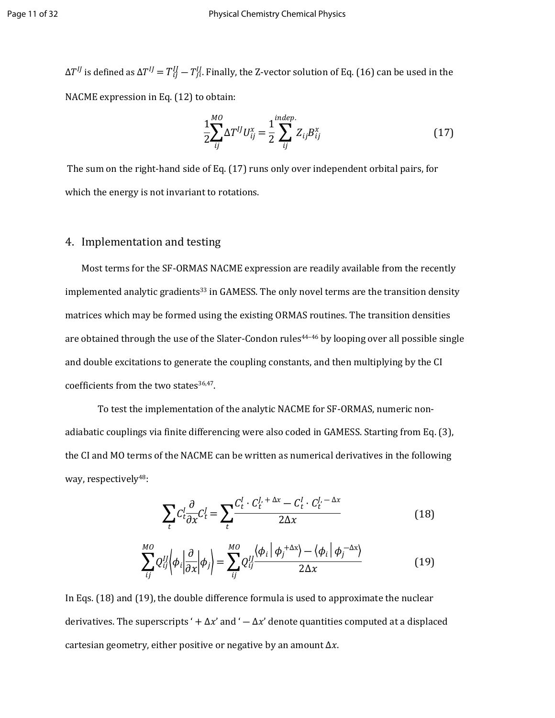ΔT $^{IJ}$  is defined as ΔT $^{IJ}=T^{IJ}_{ij}-T^{IJ}_{ji}$ . Finally, the Z-vector solution of Eq. (16) can be used in the NACME expression in Eq. (12) to obtain:

$$
\frac{1}{2} \sum_{ij}^{MO} \Delta T^{IJ} U_{ij}^{x} = \frac{1}{2} \sum_{ij}^{indep.} Z_{ij} B_{ij}^{x}
$$
 (17)

 The sum on the right-hand side of Eq. (17) runs only over independent orbital pairs, for which the energy is not invariant to rotations.

## 4. Implementation and testing

Most terms for the SF-ORMAS NACME expression are readily available from the recently implemented analytic gradients<sup>33</sup> in GAMESS. The only novel terms are the transition density matrices which may be formed using the existing ORMAS routines. The transition densities are obtained through the use of the Slater-Condon rules<sup>44-46</sup> by looping over all possible single and double excitations to generate the coupling constants, and then multiplying by the CI coefficients from the two states<sup>36,47</sup>.

To test the implementation of the analytic NACME for SF-ORMAS, numeric nonadiabatic couplings via finite differencing were also coded in GAMESS. Starting from Eq. (3), the CI and MO terms of the NACME can be written as numerical derivatives in the following way, respectively<sup>48</sup>:

$$
\sum_{t} C_{t}^{I} \frac{\partial}{\partial x} C_{t}^{I} = \sum_{t} \frac{C_{t}^{I} \cdot C_{t}^{J,+ \Delta x} - C_{t}^{I} \cdot C_{t}^{J,-\Delta x}}{2\Delta x}
$$
(18)

$$
\sum_{ij}^{MO} Q_{ij}^{IJ} \left\langle \phi_i \left| \frac{\partial}{\partial x} \right| \phi_j \right\rangle = \sum_{ij}^{MO} Q_{ij}^{IJ} \frac{\left\langle \phi_i \left| \phi_j \right\rangle - \left\langle \phi_i \left| \phi_j \right\rangle \right\rangle}{2\Delta x} \tag{19}
$$

In Eqs. (18) and (19), the double difference formula is used to approximate the nuclear derivatives. The superscripts ' +  $\Delta x$ ' and '  $-\Delta x$ ' denote quantities computed at a displaced cartesian geometry, either positive or negative by an amount  $\Delta x$ .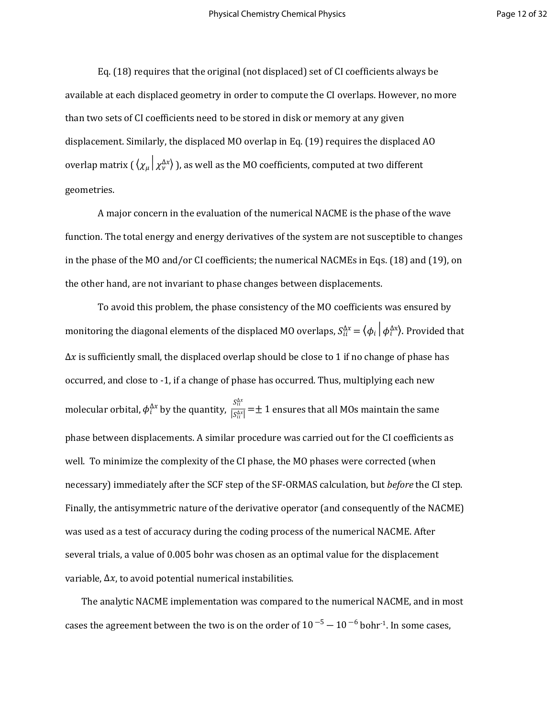Eq. (18) requires that the original (not displaced) set of CI coefficients always be available at each displaced geometry in order to compute the CI overlaps. However, no more than two sets of CI coefficients need to be stored in disk or memory at any given displacement. Similarly, the displaced MO overlap in Eq. (19) requires the displaced AO overlap matrix (  $\langle \chi_\mu | \chi_v^{\Delta x} \rangle$  ), as well as the MO coefficients, computed at two different geometries.

A major concern in the evaluation of the numerical NACME is the phase of the wave function. The total energy and energy derivatives of the system are not susceptible to changes in the phase of the MO and/or CI coefficients; the numerical NACMEs in Eqs. (18) and (19), on the other hand, are not invariant to phase changes between displacements.

To avoid this problem, the phase consistency of the MO coefficients was ensured by monitoring the diagonal elements of the displaced MO overlaps,  $S^{\Delta\chi}_{ii}=\langle\phi_i\,|\,\phi_i^{\Delta\chi}\rangle$ . Provided that  $\Delta x$  is sufficiently small, the displaced overlap should be close to 1 if no change of phase has occurred, and close to -1, if a change of phase has occurred. Thus, multiplying each new molecular orbital,  $\phi_i^{\Delta x}$  by the quantity,  $\frac{S_{ii}}{|\mathcal{S}^{|\mathcal{X}|}} = \pm 1$  ensures that all MOs maintain the same  $S_{ii}^{\Delta x}$  $\frac{a}{|S_{ii}^{\Delta x}|} = \pm 1$ phase between displacements. A similar procedure was carried out for the CI coefficients as well. To minimize the complexity of the CI phase, the MO phases were corrected (when necessary) immediately after the SCF step of the SF-ORMAS calculation, but *before* the CI step. Finally, the antisymmetric nature of the derivative operator (and consequently of the NACME) was used as a test of accuracy during the coding process of the numerical NACME. After several trials, a value of 0.005 bohr was chosen as an optimal value for the displacement variable,  $\Delta x$ , to avoid potential numerical instabilities.

The analytic NACME implementation was compared to the numerical NACME, and in most cases the agreement between the two is on the order of  $10^{-5} - 10^{-6}$  bohr<sup>-1</sup>. In some cases,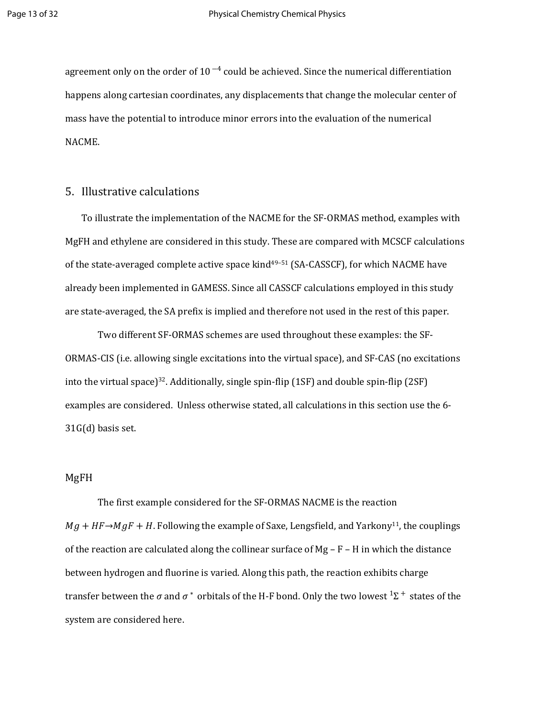agreement only on the order of  $10^{-4}$  could be achieved. Since the numerical differentiation happens along cartesian coordinates, any displacements that change the molecular center of mass have the potential to introduce minor errors into the evaluation of the numerical NACME.

## 5. Illustrative calculations

To illustrate the implementation of the NACME for the SF-ORMAS method, examples with MgFH and ethylene are considered in this study. These are compared with MCSCF calculations of the state-averaged complete active space kind<sup>49-51</sup> (SA-CASSCF), for which NACME have already been implemented in GAMESS. Since all CASSCF calculations employed in this study are state-averaged, the SA prefix is implied and therefore not used in the rest of this paper.

Two different SF-ORMAS schemes are used throughout these examples: the SF-ORMAS-CIS (i.e. allowing single excitations into the virtual space), and SF-CAS (no excitations into the virtual space)<sup>32</sup>. Additionally, single spin-flip (1SF) and double spin-flip (2SF) examples are considered. Unless otherwise stated, all calculations in this section use the 6- 31G(d) basis set.

#### MgFH

The first example considered for the SF-ORMAS NACME is the reaction  $Mg + HF \rightarrow MgF + H$ . Following the example of Saxe, Lengsfield, and Yarkony<sup>11</sup>, the couplings of the reaction are calculated along the collinear surface of  $Mg - F - H$  in which the distance between hydrogen and fluorine is varied. Along this path, the reaction exhibits charge transfer between the  $\sigma$  and  $\sigma^*$  orbitals of the H-F bond. Only the two lowest  $^1\Sigma^+$  states of the system are considered here.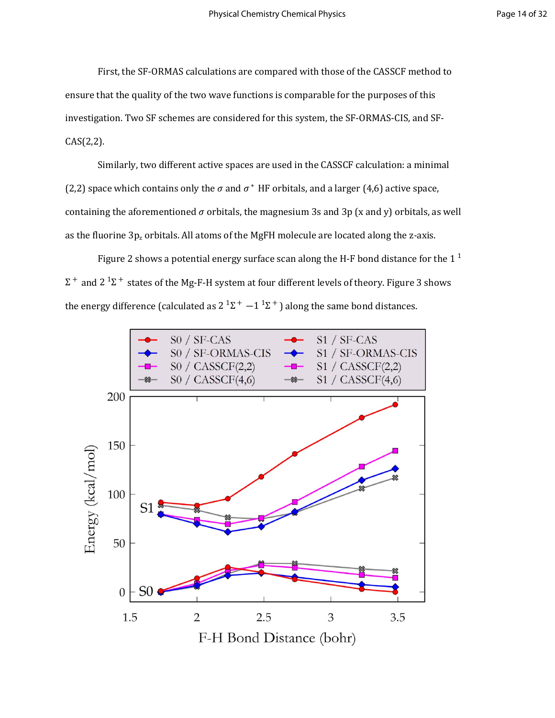First, the SF-ORMAS calculations are compared with those of the CASSCF method to ensure that the quality of the two wave functions is comparable for the purposes of this investigation. Two SF schemes are considered for this system, the SF-ORMAS-CIS, and SF- $CAS(2,2).$ 

Similarly, two different active spaces are used in the CASSCF calculation: a minimal (2,2) space which contains only the  $\sigma$  and  $\sigma^*$  HF orbitals, and a larger (4,6) active space, containing the aforementioned  $\sigma$  orbitals, the magnesium 3s and 3p (x and y) orbitals, as well as the fluorine  $3p_z$  orbitals. All atoms of the MgFH molecule are located along the z-axis.

Figure 2 shows a potential energy surface scan along the H-F bond distance for the 1  $^{\rm 1}$  $\Sigma^+$  and 2  $^1\Sigma^+$  states of the Mg-F-H system at four different levels of theory. Figure 3 shows the energy difference (calculated as 2  $^1\Sigma^+$  –1  $^1\Sigma^+$ ) along the same bond distances.

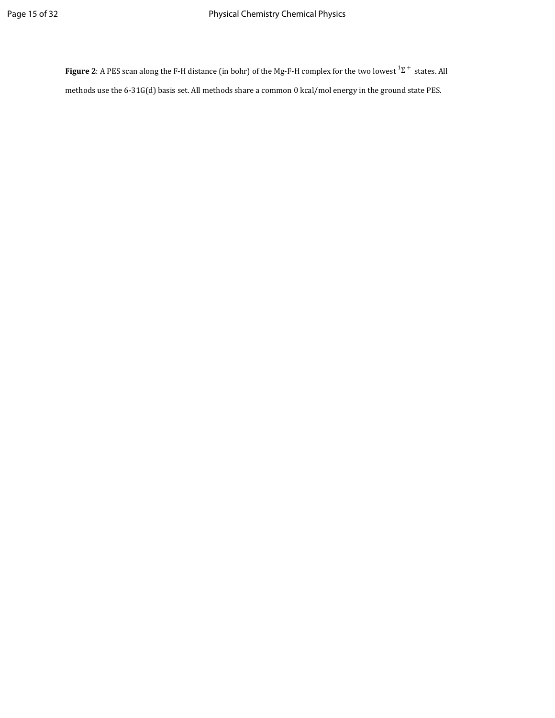**Figure 2**: A PES scan along the F-H distance (in bohr) of the Mg-F-H complex for the two lowest  ${}^{1}\Sigma^{+}$  states. All methods use the 6-31G(d) basis set. All methods share a common 0 kcal/mol energy in the ground state PES.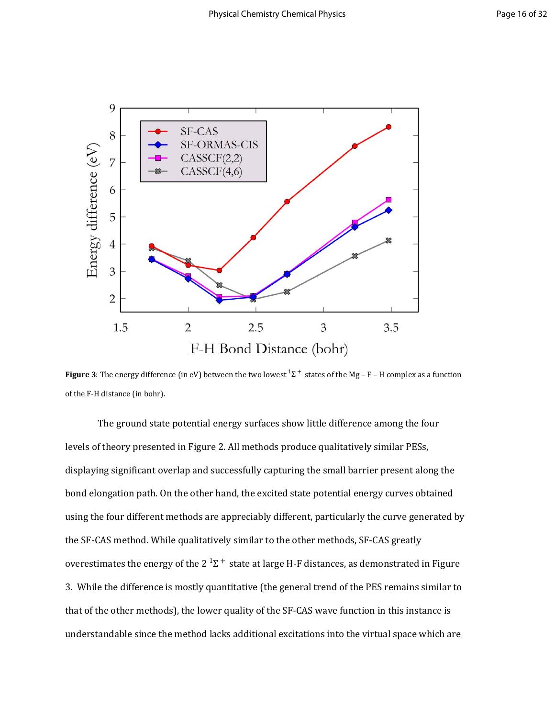

**Figure 3**: The energy difference (in eV) between the two lowest  $^1\Sigma^+$  states of the Mg – F – H complex as a function of the F-H distance (in bohr).

The ground state potential energy surfaces show little difference among the four levels of theory presented in Figure 2. All methods produce qualitatively similar PESs, displaying significant overlap and successfully capturing the small barrier present along the bond elongation path. On the other hand, the excited state potential energy curves obtained using the four different methods are appreciably different, particularly the curve generated by the SF-CAS method. While qualitatively similar to the other methods, SF-CAS greatly overestimates the energy of the 2  $^1\Sigma^+$  state at large H-F distances, as demonstrated in Figure 3. While the difference is mostly quantitative (the general trend of the PES remains similar to that of the other methods), the lower quality of the SF-CAS wave function in this instance is understandable since the method lacks additional excitations into the virtual space which are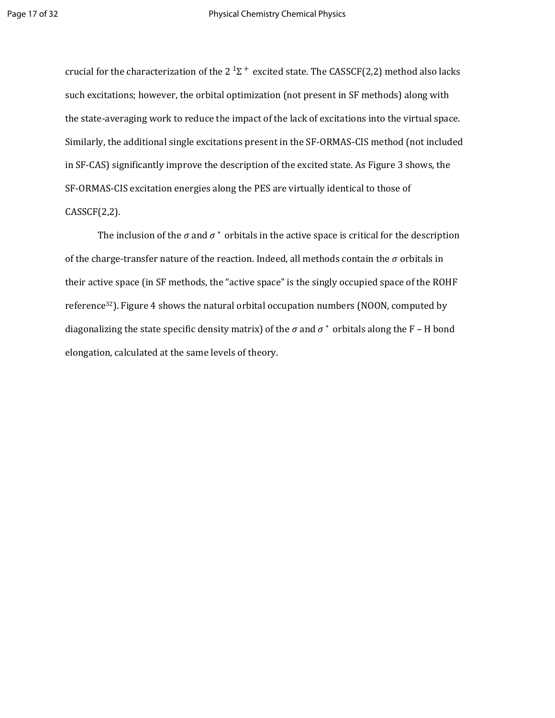crucial for the characterization of the 2  $^1\Sigma^+$  excited state. The CASSCF(2,2) method also lacks such excitations; however, the orbital optimization (not present in SF methods) along with the state-averaging work to reduce the impact of the lack of excitations into the virtual space. Similarly, the additional single excitations present in the SF-ORMAS-CIS method (not included in SF-CAS) significantly improve the description of the excited state. As Figure 3 shows, the SF-ORMAS-CIS excitation energies along the PES are virtually identical to those of  $CASSCF(2,2)$ .

The inclusion of the  $\sigma$  and  $\sigma^*$  orbitals in the active space is critical for the description of the charge-transfer nature of the reaction. Indeed, all methods contain the  $\sigma$  orbitals in their active space (in SF methods, the "active space" is the singly occupied space of the ROHF reference<sup>32</sup>). Figure 4 shows the natural orbital occupation numbers (NOON, computed by diagonalizing the state specific density matrix) of the  $\sigma$  and  $\sigma^*$  orbitals along the F - H bond elongation, calculated at the same levels of theory.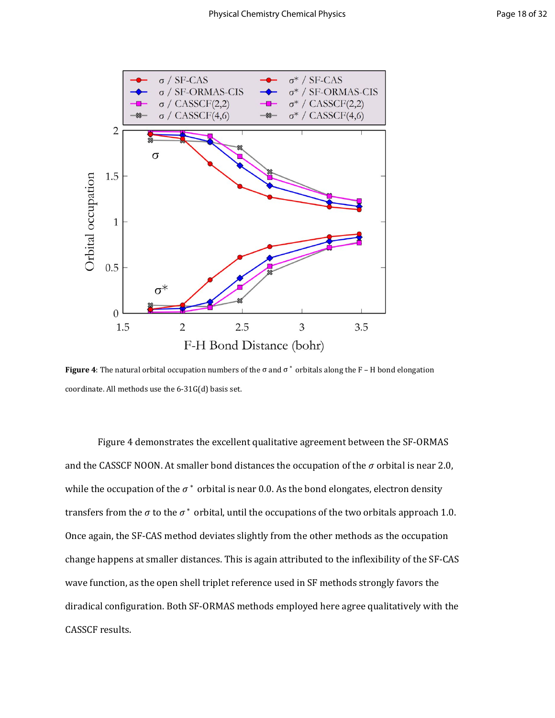

**Figure 4**: The natural orbital occupation numbers of the  $\sigma$  and  $\sigma^*$  orbitals along the F – H bond elongation coordinate. All methods use the 6-31G(d) basis set.

Figure 4 demonstrates the excellent qualitative agreement between the SF-ORMAS and the CASSCF NOON. At smaller bond distances the occupation of the  $\sigma$  orbital is near 2.0, while the occupation of the  $\sigma^*$  orbital is near 0.0. As the bond elongates, electron density transfers from the  $\sigma$  to the  $\sigma^*$  orbital, until the occupations of the two orbitals approach 1.0. Once again, the SF-CAS method deviates slightly from the other methods as the occupation change happens at smaller distances. This is again attributed to the inflexibility of the SF-CAS wave function, as the open shell triplet reference used in SF methods strongly favors the diradical configuration. Both SF-ORMAS methods employed here agree qualitatively with the CASSCF results.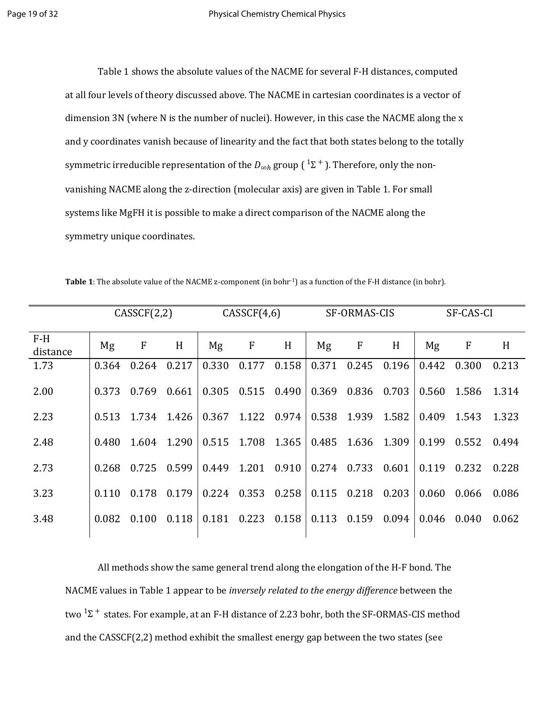Table 1 shows the absolute values of the NACME for several F-H distances, computed at all four levels of theory discussed above. The NACME in cartesian coordinates is a vector of dimension 3N (where N is the number of nuclei). However, in this case the NACME along the x and y coordinates vanish because of linearity and the fact that both states belong to the totally symmetric irreducible representation of the  $D_{\infty h}$  group (  $^1\Sigma$   $^+$  ). Therefore, only the nonvanishing NACME along the z-direction (molecular axis) are given in Table 1. For small systems like MgFH it is possible to make a direct comparison of the NACME along the symmetry unique coordinates.

|                   | CASSCF(2,2) |                   | CASECF(4,6) |       |                         | SF-ORMAS-CIS    |       |                   | SF-CAS-CI |       |             |       |
|-------------------|-------------|-------------------|-------------|-------|-------------------------|-----------------|-------|-------------------|-----------|-------|-------------|-------|
| $F-H$<br>distance | Mg          | $\mathbf{F}$      | H           | Mg    | $\mathbf{F}$            | H               | Mg    | $\mathbf F$       | H         | Mg    | $\mathbf F$ | H     |
| 1.73              | 0.364       | 0.264             | 0.217       | 0.330 | 0.177                   | 0.158           | 0.371 | 0.245             | 0.196     | 0.442 | 0.300       | 0.213 |
| 2.00              | 0.373       | 0.769             | 0.661       |       | 0.305  0.515  0.490     |                 |       | 0.369 0.836 0.703 |           |       | 0.560 1.586 | 1.314 |
| 2.23              |             | 0.513 1.734 1.426 |             |       | $0.367$ 1.122 0.974     |                 | 0.538 | 1.939             | 1.582     |       | 0.409 1.543 | 1.323 |
| 2.48              | 0.480       | 1.604 1.290       |             |       | $0.515$ 1.708 1.365     |                 | 0.485 | 1.636 1.309       |           | 0.199 | 0.552       | 0.494 |
| 2.73              | 0.268       | 0.725             | 0.599       |       | 0.449 1.201 0.910       |                 | 0.274 | 0.733             | 0.601     | 0.119 | 0.232       | 0.228 |
| 3.23              | 0.110       | 0.178             | 0.179       |       | $0.224$ $0.353$ $0.258$ |                 |       | 0.115 0.218 0.203 |           | 0.060 | 0.066       | 0.086 |
| 3.48              | 0.082       | 0.100             | 0.118       | 0.181 |                         | $0.223$ $0.158$ |       | 0.113 0.159       | 0.094     | 0.046 | 0.040       | 0.062 |
|                   |             |                   |             |       |                         |                 |       |                   |           |       |             |       |

Table 1: The absolute value of the NACME z-component (in bohr<sup>-1</sup>) as a function of the F-H distance (in bohr).

All methods show the same general trend along the elongation of the H-F bond. The NACME values in Table 1 appear to be *inversely related to the energy difference* between the two  $^1\Sigma^+$  states. For example, at an F-H distance of 2.23 bohr, both the SF-ORMAS-CIS method and the CASSCF(2,2) method exhibit the smallest energy gap between the two states (see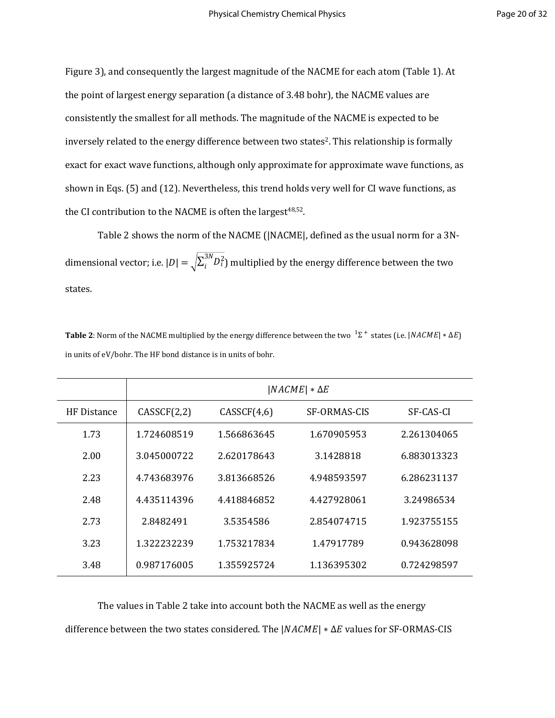Figure 3), and consequently the largest magnitude of the NACME for each atom (Table 1). At the point of largest energy separation (a distance of 3.48 bohr), the NACME values are consistently the smallest for all methods. The magnitude of the NACME is expected to be inversely related to the energy difference between two states<sup>2</sup>. This relationship is formally exact for exact wave functions, although only approximate for approximate wave functions, as shown in Eqs. (5) and (12). Nevertheless, this trend holds very well for CI wave functions, as the CI contribution to the NACME is often the largest $48,52$ .

Table 2 shows the norm of the NACME (|NACME|, defined as the usual norm for a 3Ndimensional vector; i.e.  $|D| = \sqrt{\sum_i^{3N} D_i^2}$  multiplied by the energy difference between the two  $i^{3N}D_i^2$ states.

**Table 2**: Norm of the NACME multiplied by the energy difference between the two  $1\Sigma^+$  states (i.e.  $|NACME| * \Delta E$ ) in units of eV/bohr. The HF bond distance is in units of bohr.

|             | $ NACME  * \Delta E$ |             |              |             |  |  |  |
|-------------|----------------------|-------------|--------------|-------------|--|--|--|
| HF Distance | CASSCF(2,2)          | CASSCF(4,6) | SF-ORMAS-CIS | SF-CAS-CI   |  |  |  |
| 1.73        | 1.724608519          | 1.566863645 | 1.670905953  | 2.261304065 |  |  |  |
| 2.00        | 3.045000722          | 2.620178643 | 3.1428818    | 6.883013323 |  |  |  |
| 2.23        | 4.743683976          | 3.813668526 | 4.948593597  | 6.286231137 |  |  |  |
| 2.48        | 4.435114396          | 4.418846852 | 4.427928061  | 3.24986534  |  |  |  |
| 2.73        | 2.8482491            | 3.5354586   | 2.854074715  | 1.923755155 |  |  |  |
| 3.23        | 1.322232239          | 1.753217834 | 1.47917789   | 0.943628098 |  |  |  |
| 3.48        | 0.987176005          | 1.355925724 | 1.136395302  | 0.724298597 |  |  |  |

The values in Table 2 take into account both the NACME as well as the energy difference between the two states considered. The  $|NACME| * \Delta E$  values for SF-ORMAS-CIS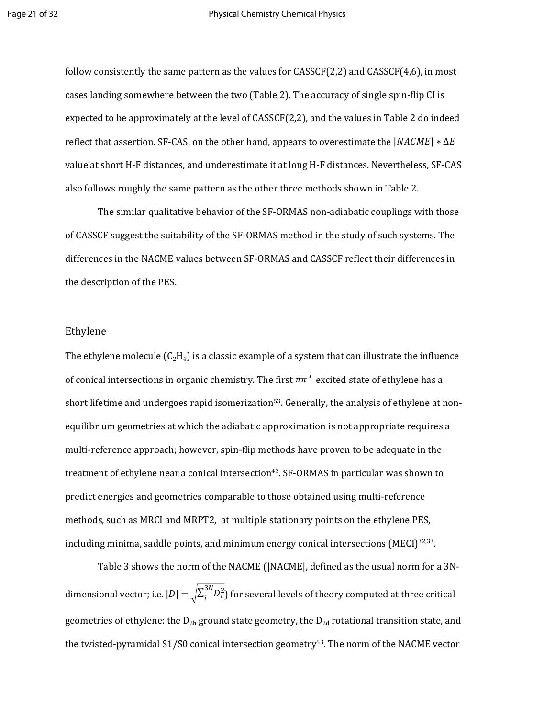follow consistently the same pattern as the values for CASSCF(2,2) and CASSCF(4,6), in most cases landing somewhere between the two (Table 2). The accuracy of single spin-flip CI is expected to be approximately at the level of CASSCF(2,2), and the values in Table 2 do indeed reflect that assertion. SF-CAS, on the other hand, appears to overestimate the  $|NACME|$  \*  $\Delta E$ value at short H-F distances, and underestimate it at long H-F distances. Nevertheless, SF-CAS also follows roughly the same pattern as the other three methods shown in Table 2.

The similar qualitative behavior of the SF-ORMAS non-adiabatic couplings with those of CASSCF suggest the suitability of the SF-ORMAS method in the study of such systems. The differences in the NACME values between SF-ORMAS and CASSCF reflect their differences in the description of the PES.

### Ethylene

The ethylene molecule  $(C_2H_4)$  is a classic example of a system that can illustrate the influence of conical intersections in organic chemistry. The first  $\pi\pi^*$  excited state of ethylene has a short lifetime and undergoes rapid isomerization<sup>53</sup>. Generally, the analysis of ethylene at nonequilibrium geometries at which the adiabatic approximation is not appropriate requires a multi-reference approach; however, spin-flip methods have proven to be adequate in the treatment of ethylene near a conical intersection<sup>42</sup>. SF-ORMAS in particular was shown to predict energies and geometries comparable to those obtained using multi-reference methods, such as MRCI and MRPT2, at multiple stationary points on the ethylene PES, including minima, saddle points, and minimum energy conical intersections (MECI) $32,33$ .

Table 3 shows the norm of the NACME (|NACME|, defined as the usual norm for a 3Ndimensional vector; i.e.  $|D| = \sqrt{\sum_i^{3N} D_i^2}$  for several levels of theory computed at three critical  $i^{3N}D_i^2$ geometries of ethylene: the  $D_{2h}$  ground state geometry, the  $D_{2d}$  rotational transition state, and the twisted-pyramidal S1/S0 conical intersection geometry<sup>53</sup>. The norm of the NACME vector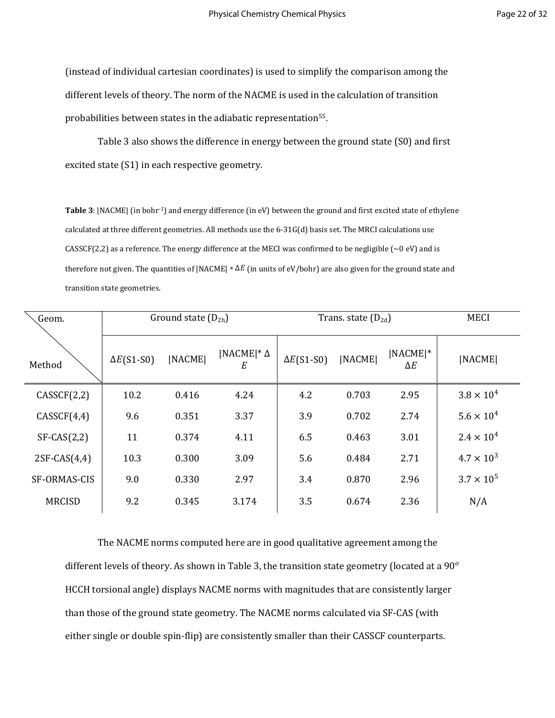(instead of individual cartesian coordinates) is used to simplify the comparison among the different levels of theory. The norm of the NACME is used in the calculation of transition probabilities between states in the adiabatic representation<sup>55</sup>.

Table 3 also shows the difference in energy between the ground state (S0) and first excited state (S1) in each respective geometry.

**Table 3**: |NACME| (in bohr-1) and energy difference (in eV) between the ground and first excited state of ethylene calculated at three different geometries. All methods use the 6-31G(d) basis set. The MRCI calculations use CASSCF(2,2) as a reference. The energy difference at the MECI was confirmed to be negligible ( $\sim$ 0 eV) and is therefore not given. The quantities of |NACME|  $* \Delta E$  (in units of eV/bohr) are also given for the ground state and transition state geometries.

| Geom.          |                   | Ground state $(D_{2h})$ |                                       | Trans. state $(D_{2d})$ | <b>MECI</b>   |                           |                     |
|----------------|-------------------|-------------------------|---------------------------------------|-------------------------|---------------|---------------------------|---------------------|
| Method         | $\Delta E(S1-S0)$ | <b>INACMEI</b>          | $\vert NACME \vert^* \Delta$<br>$E\,$ | $\Delta E(S1-S0)$       | <b>NACMEI</b> | $[NACME]$ *<br>$\Delta E$ | [NACME]             |
| CASSCF(2,2)    | 10.2              | 0.416                   | 4.24                                  | 4.2                     | 0.703         | 2.95                      | $3.8 \times 10^{4}$ |
| CASSCF(4,4)    | 9.6               | 0.351                   | 3.37                                  | 3.9                     | 0.702         | 2.74                      | $5.6 \times 10^{4}$ |
| $SF-CAS(2,2)$  | 11                | 0.374                   | 4.11                                  | 6.5                     | 0.463         | 3.01                      | $2.4 \times 10^{4}$ |
| $2SF-CAS(4,4)$ | 10.3              | 0.300                   | 3.09                                  | 5.6                     | 0.484         | 2.71                      | $4.7 \times 10^{3}$ |
| SF-ORMAS-CIS   | 9.0               | 0.330                   | 2.97                                  | 3.4                     | 0.870         | 2.96                      | $3.7 \times 10^{5}$ |
| <b>MRCISD</b>  | 9.2               | 0.345                   | 3.174                                 | 3.5                     | 0.674         | 2.36                      | N/A                 |

The NACME norms computed here are in good qualitative agreement among the different levels of theory. As shown in Table 3, the transition state geometry (located at a  $90^{\circ}$ HCCH torsional angle) displays NACME norms with magnitudes that are consistently larger than those of the ground state geometry. The NACME norms calculated via SF-CAS (with either single or double spin-flip) are consistently smaller than their CASSCF counterparts.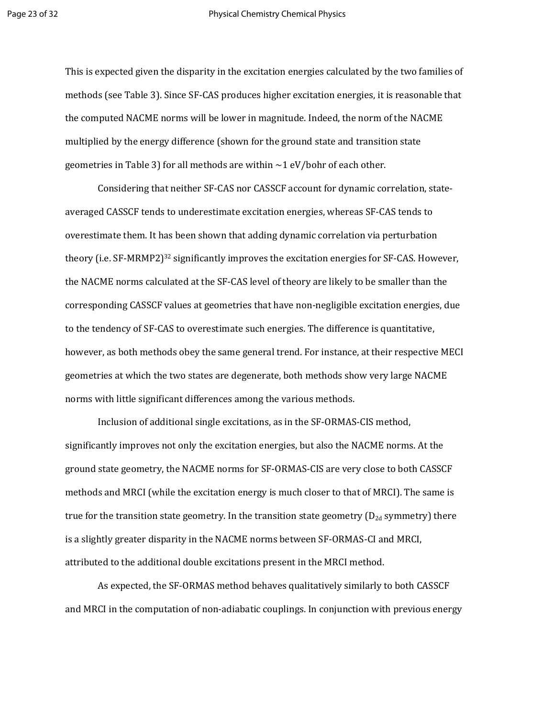This is expected given the disparity in the excitation energies calculated by the two families of methods (see Table 3). Since SF-CAS produces higher excitation energies, it is reasonable that the computed NACME norms will be lower in magnitude. Indeed, the norm of the NACME multiplied by the energy difference (shown for the ground state and transition state geometries in Table 3) for all methods are within  $\sim$  1 eV/bohr of each other.

Considering that neither SF-CAS nor CASSCF account for dynamic correlation, stateaveraged CASSCF tends to underestimate excitation energies, whereas SF-CAS tends to overestimate them. It has been shown that adding dynamic correlation via perturbation theory (i.e. SF-MRMP2)<sup>32</sup> significantly improves the excitation energies for SF-CAS. However, the NACME norms calculated at the SF-CAS level of theory are likely to be smaller than the corresponding CASSCF values at geometries that have non-negligible excitation energies, due to the tendency of SF-CAS to overestimate such energies. The difference is quantitative, however, as both methods obey the same general trend. For instance, at their respective MECI geometries at which the two states are degenerate, both methods show very large NACME norms with little significant differences among the various methods.

Inclusion of additional single excitations, as in the SF-ORMAS-CIS method, significantly improves not only the excitation energies, but also the NACME norms. At the ground state geometry, the NACME norms for SF-ORMAS-CIS are very close to both CASSCF methods and MRCI (while the excitation energy is much closer to that of MRCI). The same is true for the transition state geometry. In the transition state geometry  $(D_{2d}$  symmetry) there is a slightly greater disparity in the NACME norms between SF-ORMAS-CI and MRCI, attributed to the additional double excitations present in the MRCI method.

As expected, the SF-ORMAS method behaves qualitatively similarly to both CASSCF and MRCI in the computation of non-adiabatic couplings. In conjunction with previous energy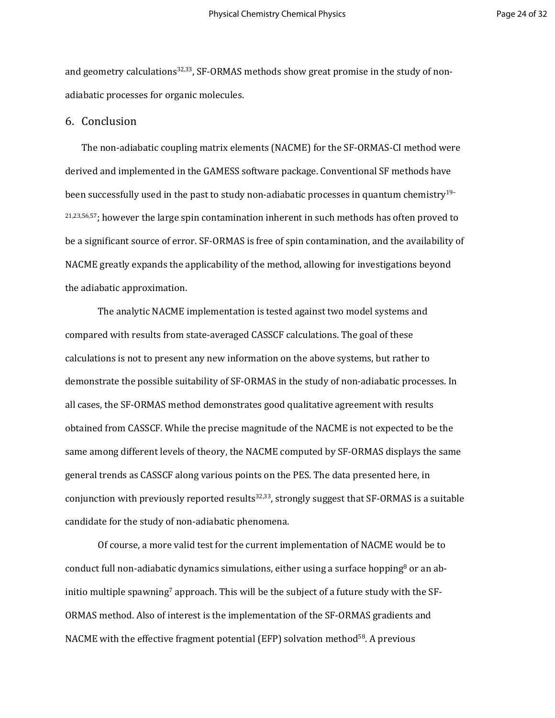and geometry calculations<sup>32,33</sup>, SF-ORMAS methods show great promise in the study of nonadiabatic processes for organic molecules.

## 6. Conclusion

The non-adiabatic coupling matrix elements (NACME) for the SF-ORMAS-CI method were derived and implemented in the GAMESS software package. Conventional SF methods have been successfully used in the past to study non-adiabatic processes in quantum chemistry<sup>19-</sup>  $21,23,56,57$ ; however the large spin contamination inherent in such methods has often proved to be a significant source of error. SF-ORMAS is free of spin contamination, and the availability of NACME greatly expands the applicability of the method, allowing for investigations beyond the adiabatic approximation.

The analytic NACME implementation is tested against two model systems and compared with results from state-averaged CASSCF calculations. The goal of these calculations is not to present any new information on the above systems, but rather to demonstrate the possible suitability of SF-ORMAS in the study of non-adiabatic processes. In all cases, the SF-ORMAS method demonstrates good qualitative agreement with results obtained from CASSCF. While the precise magnitude of the NACME is not expected to be the same among different levels of theory, the NACME computed by SF-ORMAS displays the same general trends as CASSCF along various points on the PES. The data presented here, in conjunction with previously reported results<sup>32,33</sup>, strongly suggest that SF-ORMAS is a suitable candidate for the study of non-adiabatic phenomena.

Of course, a more valid test for the current implementation of NACME would be to conduct full non-adiabatic dynamics simulations, either using a surface hopping<sup>8</sup> or an abinitio multiple spawning<sup>7</sup> approach. This will be the subject of a future study with the SF-ORMAS method. Also of interest is the implementation of the SF-ORMAS gradients and NACME with the effective fragment potential (EFP) solvation method<sup>58</sup>. A previous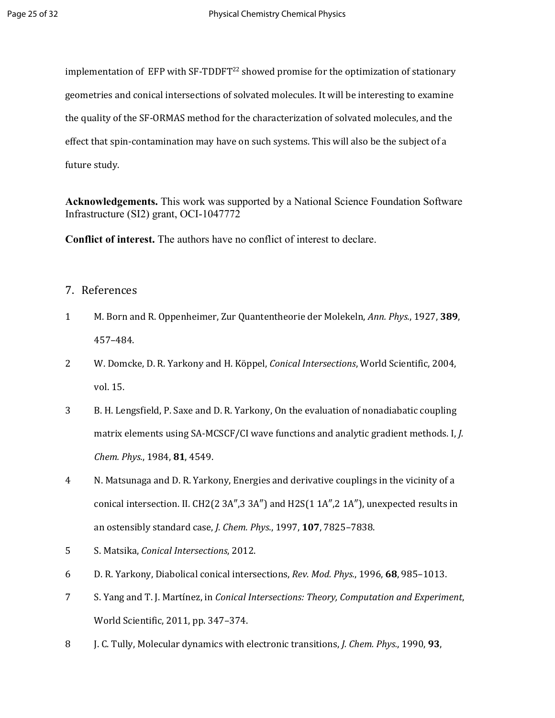implementation of EFP with  $SF-TDDFT^{22}$  showed promise for the optimization of stationary geometries and conical intersections of solvated molecules. It will be interesting to examine the quality of the SF-ORMAS method for the characterization of solvated molecules, and the effect that spin-contamination may have on such systems. This will also be the subject of a future study.

**Acknowledgements.** This work was supported by a National Science Foundation Software Infrastructure (SI2) grant, OCI-1047772

**Conflict of interest.** The authors have no conflict of interest to declare.

## 7. References

- 1 M. Born and R. Oppenheimer, Zur Quantentheorie der Molekeln, *Ann. Phys.*, 1927, **389**, 457–484.
- 2 W. Domcke, D. R. Yarkony and H. Köppel, *Conical Intersections*, World Scientific, 2004, vol. 15.
- 3 B. H. Lengsfield, P. Saxe and D. R. Yarkony, On the evaluation of nonadiabatic coupling matrix elements using SA-MCSCF/CI wave functions and analytic gradient methods. I, *J. Chem. Phys.*, 1984, **81**, 4549.
- 4 N. Matsunaga and D. R. Yarkony, Energies and derivative couplings in the vicinity of a conical intersection. II. CH2(2 3A", 3 3A") and H2S(1 1A", 2 1A"), unexpected results in an ostensibly standard case, *J. Chem. Phys.*, 1997, **107**, 7825–7838.
- 5 S. Matsika, *Conical Intersections*, 2012.
- 6 D. R. Yarkony, Diabolical conical intersections, *Rev. Mod. Phys.*, 1996, **68**, 985–1013.
- 7 S. Yang and T. J. Martínez, in *Conical Intersections: Theory, Computation and Experiment*, World Scientific, 2011, pp. 347–374.
- 8 J. C. Tully, Molecular dynamics with electronic transitions, *J. Chem. Phys.*, 1990, **93**,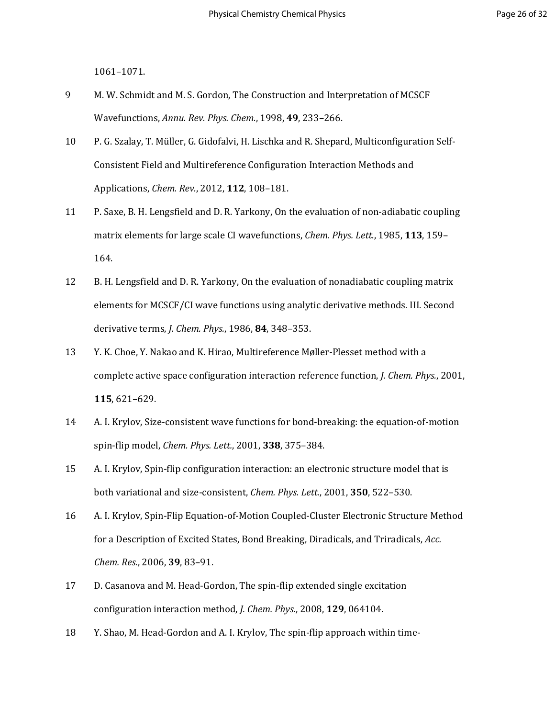1061–1071.

- 9 M. W. Schmidt and M. S. Gordon, The Construction and Interpretation of MCSCF Wavefunctions, *Annu. Rev. Phys. Chem.*, 1998, **49**, 233–266.
- 10 P. G. Szalay, T. Müller, G. Gidofalvi, H. Lischka and R. Shepard, Multiconfiguration Self-Consistent Field and Multireference Configuration Interaction Methods and Applications, *Chem. Rev.*, 2012, **112**, 108–181.
- 11 P. Saxe, B. H. Lengsfield and D. R. Yarkony, On the evaluation of non-adiabatic coupling matrix elements for large scale CI wavefunctions, *Chem. Phys. Lett.*, 1985, **113**, 159– 164.
- 12 B. H. Lengsfield and D. R. Yarkony, On the evaluation of nonadiabatic coupling matrix elements for MCSCF/CI wave functions using analytic derivative methods. III. Second derivative terms, *J. Chem. Phys.*, 1986, **84**, 348–353.
- 13 Y. K. Choe, Y. Nakao and K. Hirao, Multireference Møller-Plesset method with a complete active space configuration interaction reference function, *J. Chem. Phys.*, 2001, **115**, 621–629.
- 14 A. I. Krylov, Size-consistent wave functions for bond-breaking: the equation-of-motion spin-flip model, *Chem. Phys. Lett.*, 2001, **338**, 375–384.
- 15 A. I. Krylov, Spin-flip configuration interaction: an electronic structure model that is both variational and size-consistent, *Chem. Phys. Lett.*, 2001, **350**, 522–530.
- 16 A. I. Krylov, Spin-Flip Equation-of-Motion Coupled-Cluster Electronic Structure Method for a Description of Excited States, Bond Breaking, Diradicals, and Triradicals, *Acc. Chem. Res.*, 2006, **39**, 83–91.
- 17 D. Casanova and M. Head-Gordon, The spin-flip extended single excitation configuration interaction method, *J. Chem. Phys.*, 2008, **129**, 064104.
- 18 Y. Shao, M. Head-Gordon and A. I. Krylov, The spin-flip approach within time-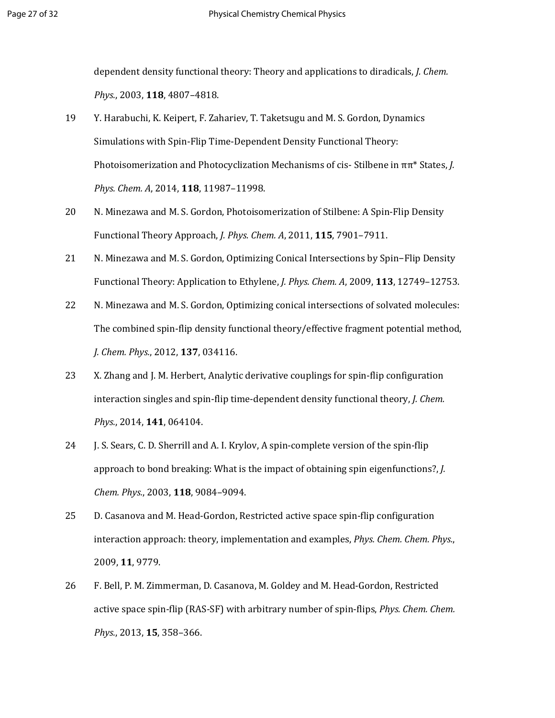dependent density functional theory: Theory and applications to diradicals, *J. Chem. Phys.*, 2003, **118**, 4807–4818.

- 19 Y. Harabuchi, K. Keipert, F. Zahariev, T. Taketsugu and M. S. Gordon, Dynamics Simulations with Spin-Flip Time-Dependent Density Functional Theory: Photoisomerization and Photocyclization Mechanisms of cis- Stilbene in ππ\* States, *J. Phys. Chem. A*, 2014, **118**, 11987–11998.
- 20 N. Minezawa and M. S. Gordon, Photoisomerization of Stilbene: A Spin-Flip Density Functional Theory Approach, *J. Phys. Chem. A*, 2011, **115**, 7901–7911.
- 21 N. Minezawa and M. S. Gordon, Optimizing Conical Intersections by Spin−Flip Density Functional Theory: Application to Ethylene, *J. Phys. Chem. A*, 2009, **113**, 12749–12753.
- 22 N. Minezawa and M. S. Gordon, Optimizing conical intersections of solvated molecules: The combined spin-flip density functional theory/effective fragment potential method, *J. Chem. Phys.*, 2012, **137**, 034116.
- 23 X. Zhang and J. M. Herbert, Analytic derivative couplings for spin-flip configuration interaction singles and spin-flip time-dependent density functional theory, *J. Chem. Phys.*, 2014, **141**, 064104.
- 24 J. S. Sears, C. D. Sherrill and A. I. Krylov, A spin-complete version of the spin-flip approach to bond breaking: What is the impact of obtaining spin eigenfunctions?, *J. Chem. Phys.*, 2003, **118**, 9084–9094.
- 25 D. Casanova and M. Head-Gordon, Restricted active space spin-flip configuration interaction approach: theory, implementation and examples, *Phys. Chem. Chem. Phys.*, 2009, **11**, 9779.
- 26 F. Bell, P. M. Zimmerman, D. Casanova, M. Goldey and M. Head-Gordon, Restricted active space spin-flip (RAS-SF) with arbitrary number of spin-flips, *Phys. Chem. Chem. Phys.*, 2013, **15**, 358–366.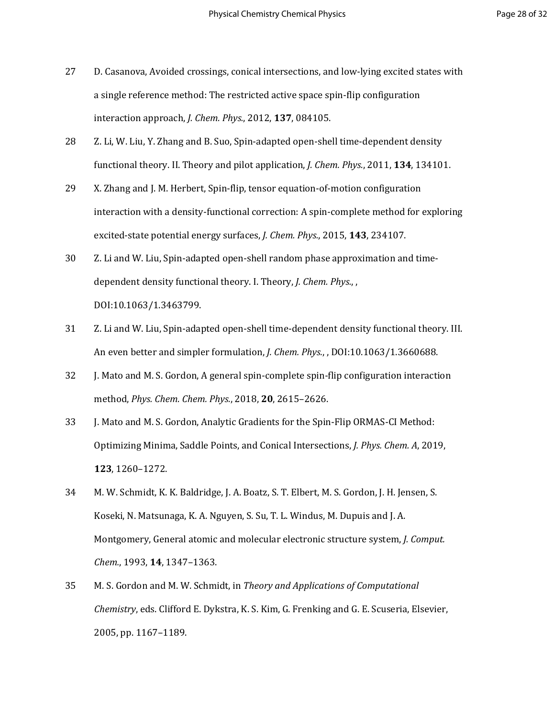- 27 D. Casanova, Avoided crossings, conical intersections, and low-lying excited states with a single reference method: The restricted active space spin-flip configuration interaction approach, *J. Chem. Phys.*, 2012, **137**, 084105.
- 28 Z. Li, W. Liu, Y. Zhang and B. Suo, Spin-adapted open-shell time-dependent density functional theory. II. Theory and pilot application, *J. Chem. Phys.*, 2011, **134**, 134101.
- 29 X. Zhang and J. M. Herbert, Spin-flip, tensor equation-of-motion configuration interaction with a density-functional correction: A spin-complete method for exploring excited-state potential energy surfaces, *J. Chem. Phys.*, 2015, **143**, 234107.
- 30 Z. Li and W. Liu, Spin-adapted open-shell random phase approximation and timedependent density functional theory. I. Theory, *J. Chem. Phys.*, , DOI:10.1063/1.3463799.
- 31 Z. Li and W. Liu, Spin-adapted open-shell time-dependent density functional theory. III. An even better and simpler formulation, *J. Chem. Phys.*, , DOI:10.1063/1.3660688.
- 32 J. Mato and M. S. Gordon, A general spin-complete spin-flip configuration interaction method, *Phys. Chem. Chem. Phys.*, 2018, **20**, 2615–2626.
- 33 J. Mato and M. S. Gordon, Analytic Gradients for the Spin-Flip ORMAS-CI Method: Optimizing Minima, Saddle Points, and Conical Intersections, *J. Phys. Chem. A*, 2019, **123**, 1260–1272.
- 34 M. W. Schmidt, K. K. Baldridge, J. A. Boatz, S. T. Elbert, M. S. Gordon, J. H. Jensen, S. Koseki, N. Matsunaga, K. A. Nguyen, S. Su, T. L. Windus, M. Dupuis and J. A. Montgomery, General atomic and molecular electronic structure system, *J. Comput. Chem.*, 1993, **14**, 1347–1363.
- 35 M. S. Gordon and M. W. Schmidt, in *Theory and Applications of Computational Chemistry*, eds. Clifford E. Dykstra, K. S. Kim, G. Frenking and G. E. Scuseria, Elsevier, 2005, pp. 1167–1189.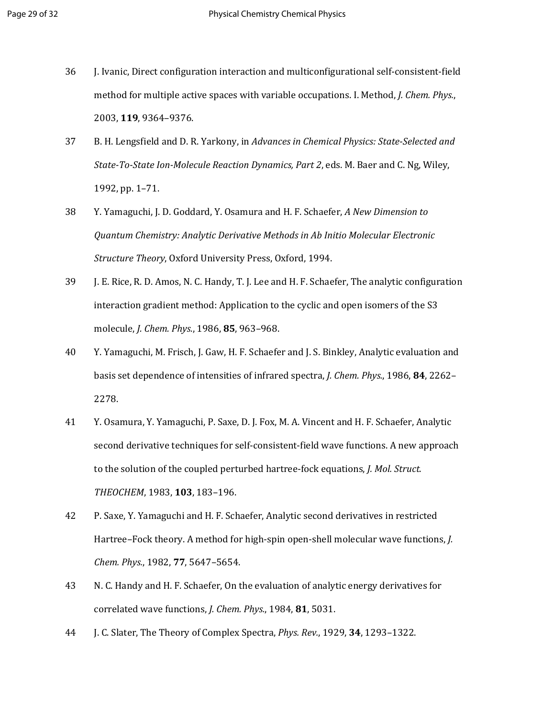- 36 J. Ivanic, Direct configuration interaction and multiconfigurational self-consistent-field method for multiple active spaces with variable occupations. I. Method, *J. Chem. Phys.*, 2003, **119**, 9364–9376.
- 37 B. H. Lengsfield and D. R. Yarkony, in *Advances in Chemical Physics: State-Selected and State-To-State Ion-Molecule Reaction Dynamics, Part 2*, eds. M. Baer and C. Ng, Wiley, 1992, pp. 1–71.
- 38 Y. Yamaguchi, J. D. Goddard, Y. Osamura and H. F. Schaefer, *A New Dimension to Quantum Chemistry: Analytic Derivative Methods in Ab Initio Molecular Electronic Structure Theory*, Oxford University Press, Oxford, 1994.
- 39 J. E. Rice, R. D. Amos, N. C. Handy, T. J. Lee and H. F. Schaefer, The analytic configuration interaction gradient method: Application to the cyclic and open isomers of the S3 molecule, *J. Chem. Phys.*, 1986, **85**, 963–968.
- 40 Y. Yamaguchi, M. Frisch, J. Gaw, H. F. Schaefer and J. S. Binkley, Analytic evaluation and basis set dependence of intensities of infrared spectra, *J. Chem. Phys.*, 1986, **84**, 2262– 2278.
- 41 Y. Osamura, Y. Yamaguchi, P. Saxe, D. J. Fox, M. A. Vincent and H. F. Schaefer, Analytic second derivative techniques for self-consistent-field wave functions. A new approach to the solution of the coupled perturbed hartree-fock equations, *J. Mol. Struct. THEOCHEM*, 1983, **103**, 183–196.
- 42 P. Saxe, Y. Yamaguchi and H. F. Schaefer, Analytic second derivatives in restricted Hartree–Fock theory. A method for high-spin open-shell molecular wave functions, *J. Chem. Phys.*, 1982, **77**, 5647–5654.
- 43 N. C. Handy and H. F. Schaefer, On the evaluation of analytic energy derivatives for correlated wave functions, *J. Chem. Phys.*, 1984, **81**, 5031.
- 44 J. C. Slater, The Theory of Complex Spectra, *Phys. Rev.*, 1929, **34**, 1293–1322.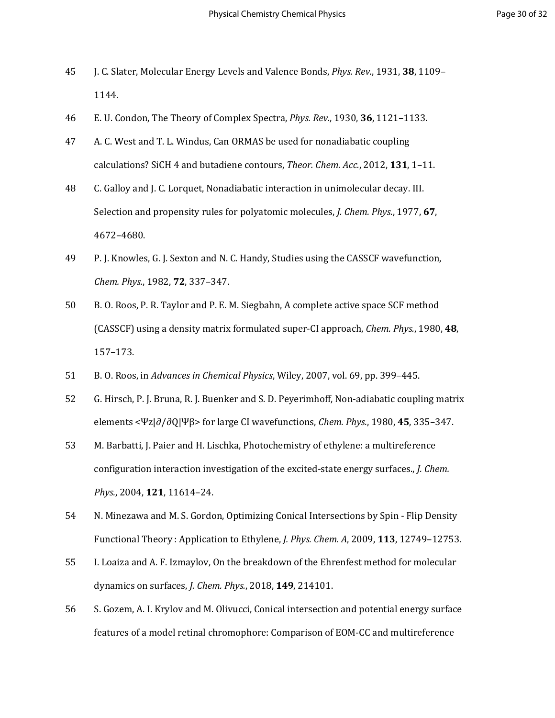- 45 J. C. Slater, Molecular Energy Levels and Valence Bonds, *Phys. Rev.*, 1931, **38**, 1109– 1144.
- 46 E. U. Condon, The Theory of Complex Spectra, *Phys. Rev.*, 1930, **36**, 1121–1133.
- 47 A. C. West and T. L. Windus, Can ORMAS be used for nonadiabatic coupling calculations? SiCH 4 and butadiene contours, *Theor. Chem. Acc.*, 2012, **131**, 1–11.
- 48 C. Galloy and J. C. Lorquet, Nonadiabatic interaction in unimolecular decay. III. Selection and propensity rules for polyatomic molecules, *J. Chem. Phys.*, 1977, **67**, 4672–4680.
- 49 P. J. Knowles, G. J. Sexton and N. C. Handy, Studies using the CASSCF wavefunction, *Chem. Phys.*, 1982, **72**, 337–347.
- 50 B. O. Roos, P. R. Taylor and P. E. M. Siegbahn, A complete active space SCF method (CASSCF) using a density matrix formulated super-CI approach, *Chem. Phys.*, 1980, **48**, 157–173.
- 51 B. O. Roos, in *Advances in Chemical Physics*, Wiley, 2007, vol. 69, pp. 399–445.
- 52 G. Hirsch, P. J. Bruna, R. J. Buenker and S. D. Peyerimhoff, Non-adiabatic coupling matrix elements <Ψz|∂/∂Q|Ψβ> for large CI wavefunctions, *Chem. Phys.*, 1980, **45**, 335–347.
- 53 M. Barbatti, J. Paier and H. Lischka, Photochemistry of ethylene: a multireference configuration interaction investigation of the excited-state energy surfaces., *J. Chem. Phys.*, 2004, **121**, 11614–24.
- 54 N. Minezawa and M. S. Gordon, Optimizing Conical Intersections by Spin Flip Density Functional Theory : Application to Ethylene, *J. Phys. Chem. A*, 2009, **113**, 12749–12753.
- 55 I. Loaiza and A. F. Izmaylov, On the breakdown of the Ehrenfest method for molecular dynamics on surfaces, *J. Chem. Phys.*, 2018, **149**, 214101.
- 56 S. Gozem, A. I. Krylov and M. Olivucci, Conical intersection and potential energy surface features of a model retinal chromophore: Comparison of EOM-CC and multireference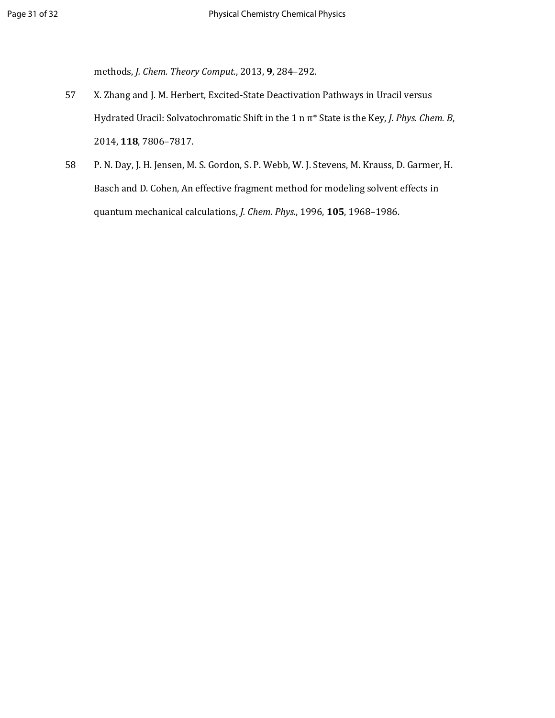methods, *J. Chem. Theory Comput.*, 2013, **9**, 284–292.

- 57 X. Zhang and J. M. Herbert, Excited-State Deactivation Pathways in Uracil versus Hydrated Uracil: Solvatochromatic Shift in the 1 n π\* State is the Key, *J. Phys. Chem. B*, 2014, **118**, 7806–7817.
- 58 P. N. Day, J. H. Jensen, M. S. Gordon, S. P. Webb, W. J. Stevens, M. Krauss, D. Garmer, H. Basch and D. Cohen, An effective fragment method for modeling solvent effects in quantum mechanical calculations, *J. Chem. Phys.*, 1996, **105**, 1968–1986.